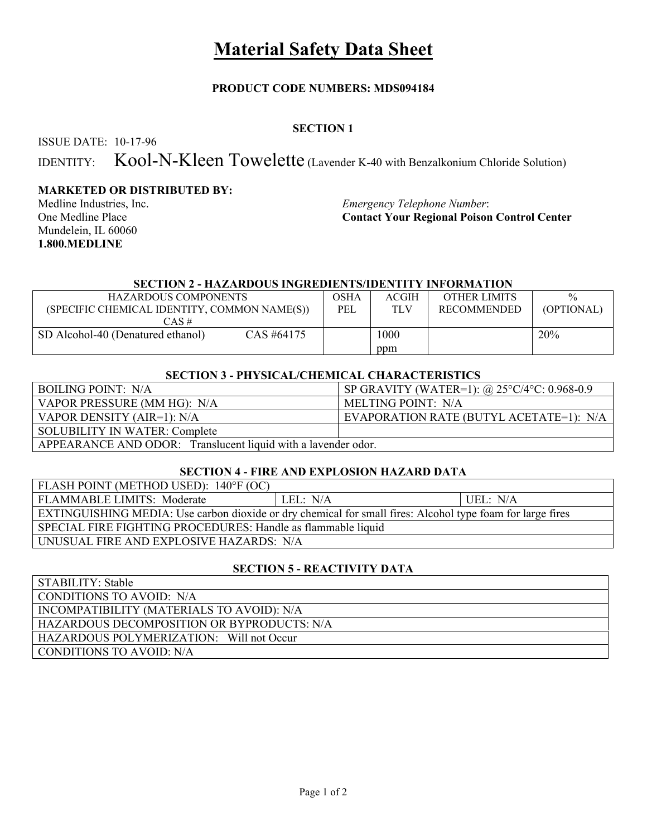# **Material Safety Data Sheet**

## **PRODUCT CODE NUMBERS: MDS094184**

# **SECTION 1**

ISSUE DATE: 10-17-96

IDENTITY: Kool-N-Kleen Towelette (Lavender K-40 with Benzalkonium Chloride Solution)

## **MARKETED OR DISTRIBUTED BY:**

Mundelein, IL 60060 **1.800.MEDLINE**

 $STATT$  $STT$  $STT$ 

Medline Industries, Inc. *Emergency Telephone Number*:<br>
One Medline Place **Contact Your Regional Poison Contact Your Regional Poison Control Center** 

#### **SECTION 2 - HAZARDOUS INGREDIENTS/IDENTITY INFORMATION**

| <b>HAZARDOUS COMPONENTS</b><br>(SPECIFIC CHEMICAL IDENTITY, COMMON NAME(S))<br>CAS# | OSHA<br>PEL | <b>ACGIH</b><br>TLV | <b>OTHER LIMITS</b><br>RECOMMENDED | $\frac{0}{0}$<br>(OPTIONAL) |
|-------------------------------------------------------------------------------------|-------------|---------------------|------------------------------------|-----------------------------|
| CAS #64175<br>SD Alcohol-40 (Denatured ethanol)                                     |             | 1000<br>ppm         |                                    | 20%                         |

#### **SECTION 3 - PHYSICAL/CHEMICAL CHARACTERISTICS**

| <b>BOILING POINT: N/A</b>                                     | SP GRAVITY (WATER=1): $@$ 25°C/4°C: 0.968-0.9 |  |
|---------------------------------------------------------------|-----------------------------------------------|--|
| VAPOR PRESSURE (MM HG): N/A                                   | MELTING POINT: N/A                            |  |
| VAPOR DENSITY (AIR=1): N/A                                    | EVAPORATION RATE (BUTYL ACETATE=1): N/A       |  |
| <b>SOLUBILITY IN WATER: Complete</b>                          |                                               |  |
| APPEARANCE AND ODOR: Translucent liquid with a lavender odor. |                                               |  |

# **SECTION 4 - FIRE AND EXPLOSION HAZARD DATA**

| FLASH POINT (METHOD USED): 140°F (OC)                                                                      |          |          |  |
|------------------------------------------------------------------------------------------------------------|----------|----------|--|
| FLAMMABLE LIMITS: Moderate                                                                                 | LEL: N/A | UEL: N/A |  |
| EXTINGUISHING MEDIA: Use carbon dioxide or dry chemical for small fires: Alcohol type foam for large fires |          |          |  |
| SPECIAL FIRE FIGHTING PROCEDURES: Handle as flammable liquid                                               |          |          |  |
| UNUSUAL FIRE AND EXPLOSIVE HAZARDS: N/A                                                                    |          |          |  |

### **SECTION 5 - REACTIVITY DATA**

| SLABILLI Y : Stable                        |
|--------------------------------------------|
| CONDITIONS TO AVOID: N/A                   |
| INCOMPATIBILITY (MATERIALS TO AVOID): N/A  |
| HAZARDOUS DECOMPOSITION OR BYPRODUCTS: N/A |
| HAZARDOUS POLYMERIZATION: Will not Occur   |
| CONDITIONS TO AVOID: N/A                   |